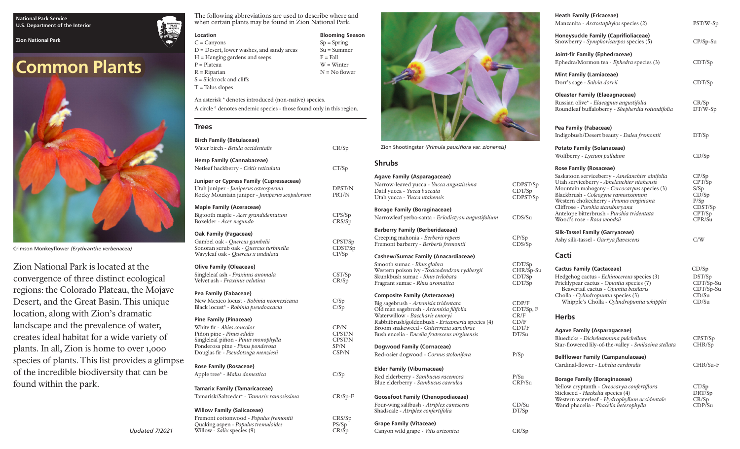#### **National Park Service U.S. Department of the Interior**

**Zion National Park**

# **Common Plants**



Crimson Monkeyflower *(Erythranthe verbenacea)*

Zion National Park is located at the convergence of three distinct ecological regions: the Colorado Plateau, the Mojave Desert, and the Great Basin. This unique location, along with Zion's dramatic landscape and the prevalence of water, creates ideal habitat for a wide variety of plants. In all, Zion is home to over 1,000 species of plants. This list provides a glimpse of the incredible biodiversity that can be found within the park.

The following abbreviations are used to describe where and when certain plants may be found in Zion National Park.

> **Blooming Season**  $Sp = Spring$ Su = Summer  $F = Fall$ W = Winter N = No flower

| Location          |
|-------------------|
| $C = \text{Cany}$ |
| $D = Des$         |
| $H = Han$         |

 $ons$ ert, lower washes, and sandy areas ging gardens and seeps P = Plateau R = Riparian

S = Slickrock and cliffs T = Talus slopes

An asterisk \* denotes introduced (non-native) species. A circle ° denotes endemic species - those found only in this region.

**Trees**

| <b>Birch Family (Betulaceae)</b><br>Water birch - Betula occidentalis | CR/Sp            |
|-----------------------------------------------------------------------|------------------|
|                                                                       |                  |
| <b>Hemp Family (Cannabaceae)</b>                                      |                  |
| Netleaf hackberry - Celtis reticulata                                 | CT/Sp            |
| Juniper or Cypress Family (Cupressaceae)                              |                  |
| Utah juniper - Juniperus osteosperma                                  | DPST/N           |
| Rocky Mountain juniper - Juniperus scopulorum                         | PRT/N            |
| <b>Maple Family (Aceraceae)</b>                                       |                  |
| Bigtooth maple - Acer grandidentatum                                  | CPS/Sp           |
| Boxelder - Acer negundo                                               | CRS/Sp           |
| Oak Family (Fagaceae)                                                 |                  |
| Gambel oak - Quercus gambelii                                         | CPST/Sp          |
| Sonoran scrub oak - Quercus turbinella                                | CDST/Sp          |
| Wavyleaf oak - Quercus x undulata                                     | CP/Sp            |
| <b>Olive Family (Oleaceae)</b>                                        |                  |
| Singleleaf ash - Fraxinus anomala                                     | $\frac{CST}{Sp}$ |
| Velvet ash - <i>Fraxinus velutina</i>                                 | CR/Sp            |
| Pea Family (Fabaceae)                                                 |                  |
| New Mexico locust - Robinia neomexicana                               | C/Sp             |
| Black locust* - Robinia pseudoacacia                                  | C/Sp             |
| Pine Family (Pinaceae)                                                |                  |
| White fir - Abies concolor                                            | CP/N             |
| Piñon pine - Pinus edulis                                             | CPST/N           |
| Singleleaf piñon - Pinus monophylla                                   | CPST/N           |
| Ponderosa pine - Pinus ponderosa                                      | SP/N             |
| Douglas fir - Pseudotsuga menziesii                                   | CSP/N            |
| Rose Family (Rosaceae)                                                |                  |
| Apple tree* - Malus domestica                                         | C/Sp             |
|                                                                       |                  |
| <b>Tamarix Family (Tamaricaceae)</b>                                  |                  |
| Tamarisk/Saltcedar* - <i>Tamarix ramosissima</i>                      | $CR/Sp-F$        |
| <b>Willow Family (Salicaceae)</b>                                     |                  |
| Fremont cottonwood - Populus fremontii                                | CRS/Sp           |
| Quaking aspen - Populus tremuloides                                   | PS/Sp            |
| Willow - Salix species (9)                                            | CR/Sp            |



Zion Shootingstar *(Primula pauciflora var. zionensis)*

## **Shrubs**

## **Agave Family (Asparagaceae)**

Narrow-leaved yucca - *Yucca angustissima* CDPST/Sp Datil yucca - *Yucca baccata* CDT/Sp Utah yucca - Yucca utahensis **Borage Family (Boraginaceae)** Narrowleaf yerba-santa - *Eriodictyon angustifolium* CDS/Su **Barberry Family (Berberidaceae)** Creeping mahonia - *Berberis repens* CP/Sp<br>Fremont barberry - *Berberis fremontii* CDS/Sp Fremont barberry - Berberis fremontii

**Cashew/Sumac Family (Anacardiaceae)**

Smooth sumac - *Rhus glabra* CDT/Sp<br>
Western poison ivy -*Toxicodendron rydbergii* CHR/Sp-Su Western poison ivy -*Toxicodendron rydbergii* Skunkbush sumac - *Rhus trilobata* CDT/Sp Fragrant sumac - *Rhus aromatica* CDT/Sp

## **Composite Family (Asteraceae)**

Big sagebrush - *Artemisia tridentata* **CDP/F**<br>
Old man sagebrush - *Artemisia filifolia* **CDT/Sp**, F Old man sagebrush - *Artemisia filifolia* CDT/S<br>
Waterwillow - *Baccharis emoryi* CR/F Waterwillow - *Baccharis emoryi* **CR/F**<br>
Rabbitbrush/goldenbush - *Ericameria* species (4) CD/F Rabbitbrush/goldenbush - *Ericameria* species (4) CD/F<br>Broom snakeweed - *Gutierrezia sarothrae* CDT/F Broom snakeweed - *Gutierrezia sarothrae* CDT/F<br>Bush encelia - *Encelia frutescens virginensis* DT/Su Bush encelia - *Encelia frutescens virginensis* **Dogwood Family (Cornaceae)** Red-osier dogwood - *Cornus stolonifera* P/Sp **Elder Family (Viburnaceae)** Red elderberry - *Sambucus racemosa* P/Su Blue elderberry - Sambucus caerulea **Goosefoot Family (Chenopodiaceae)** Four-wing saltbush - *Atriplex canescens* CD/Su Shadscale - *Atriplex confertifolia* DT/Sp

## **Grape Family (Vitaceae)**

Canyon wild grape - *Vitis arizonica* CR/Sp

| <b>Heath Family (Ericaceae)</b><br>Manzanita - <i>Arctostaphylos</i> species (2)                                                                                                                                                                                                                                                                                             | PST/W-Sp                                                                |
|------------------------------------------------------------------------------------------------------------------------------------------------------------------------------------------------------------------------------------------------------------------------------------------------------------------------------------------------------------------------------|-------------------------------------------------------------------------|
| Honeysuckle Family (Caprifioliaceae)<br>Snowberry - Symphoricarpos species (5)                                                                                                                                                                                                                                                                                               | $CP/Sp-Su$                                                              |
| Joint-fir Family (Ephedraceae)<br>Ephedra/Mormon tea - Ephedra species (3)                                                                                                                                                                                                                                                                                                   | CDT/Sp                                                                  |
| <b>Mint Family (Lamiaceae)</b><br>Dorr's sage - Salvia dorrii                                                                                                                                                                                                                                                                                                                | CDT/Sp                                                                  |
| <b>Oleaster Family (Elaeagnaceae)</b><br>Russian olive* - Elaeagnus angustifolia<br>Roundleaf buffaloberry - Shepherdia rotundifolia                                                                                                                                                                                                                                         | CR/Sp<br>DT/W-Sp                                                        |
| Pea Family (Fabaceae)<br>Indigobush/Desert beauty - Dalea fremontii                                                                                                                                                                                                                                                                                                          | DT/Sp                                                                   |
| Potato Family (Solanaceae)                                                                                                                                                                                                                                                                                                                                                   |                                                                         |
| Wolfberry - Lycium pallidum                                                                                                                                                                                                                                                                                                                                                  | CD/Sp                                                                   |
| <b>Rose Family (Rosaceae)</b><br>Saskatoon serviceberry - Amelanchier alnifolia<br>Utah serviceberry - Amelanchier utahensis<br>Mountain mahogany - Cercocarpus species (3)<br>Blackbrush - Coleogyne ramosissimum<br>Western chokecherry - Prunus virginiana<br>Cliffrose - Purshia stansburyana<br>Antelope bitterbrush - Purshia tridentata<br>Wood's rose - Rosa woodsii | CP/Sp<br>CPT/Sp<br>S/Sp<br>CD/Sp<br>P/Sp<br>CDST/Sp<br>CPT/Sp<br>CPR/Su |
| Silk-Tassel Family (Garryaceae)                                                                                                                                                                                                                                                                                                                                              |                                                                         |
| Ashy silk-tassel - Garrya flavescens                                                                                                                                                                                                                                                                                                                                         | C/W                                                                     |
| Cacti                                                                                                                                                                                                                                                                                                                                                                        |                                                                         |
| <b>Cactus Family (Cactaceae)</b><br>Hedgehog cactus - Echinocereus species (3)<br>Pricklypear cactus - Opuntia species (7)<br>Beavertail cactus - Opuntia basilaris<br>Cholla - Cylindropuntia species (3)<br>Whipple's Cholla - Cylindropuntia whipplei                                                                                                                     | CD/Sp<br>DST/Sp<br>CDT/Sp-Su<br>CDT/Sp-Su<br>CD/Su<br>CD/Su             |
| <b>Herbs</b>                                                                                                                                                                                                                                                                                                                                                                 |                                                                         |
| Agave Family (Asparagaceae)<br>Bluedicks - Dichelostemma pulchellum<br>Star-flowered lily-of-the-valley - Smilacina stellata                                                                                                                                                                                                                                                 | CPST/Sp<br>CHR/Sp                                                       |
| <b>Bellflower Family (Campanulaceae)</b><br>Cardinal-flower - Lobelia cardinalis                                                                                                                                                                                                                                                                                             | CHR/Su-F                                                                |
|                                                                                                                                                                                                                                                                                                                                                                              |                                                                         |

## **Borage Family (Boraginaceae)**

| Yellow cryptanth - Oreocarya confertiflora   | CT/Sp  |
|----------------------------------------------|--------|
| Stickseed - <i>Hackelia</i> species (4)      | DRT/Sp |
| Western waterleaf - Hydrophyllum occidentale | CR/Sp  |
| Wand phacelia - Phacelia heterophylla        | CDP/Su |

*Updated 7/2021*